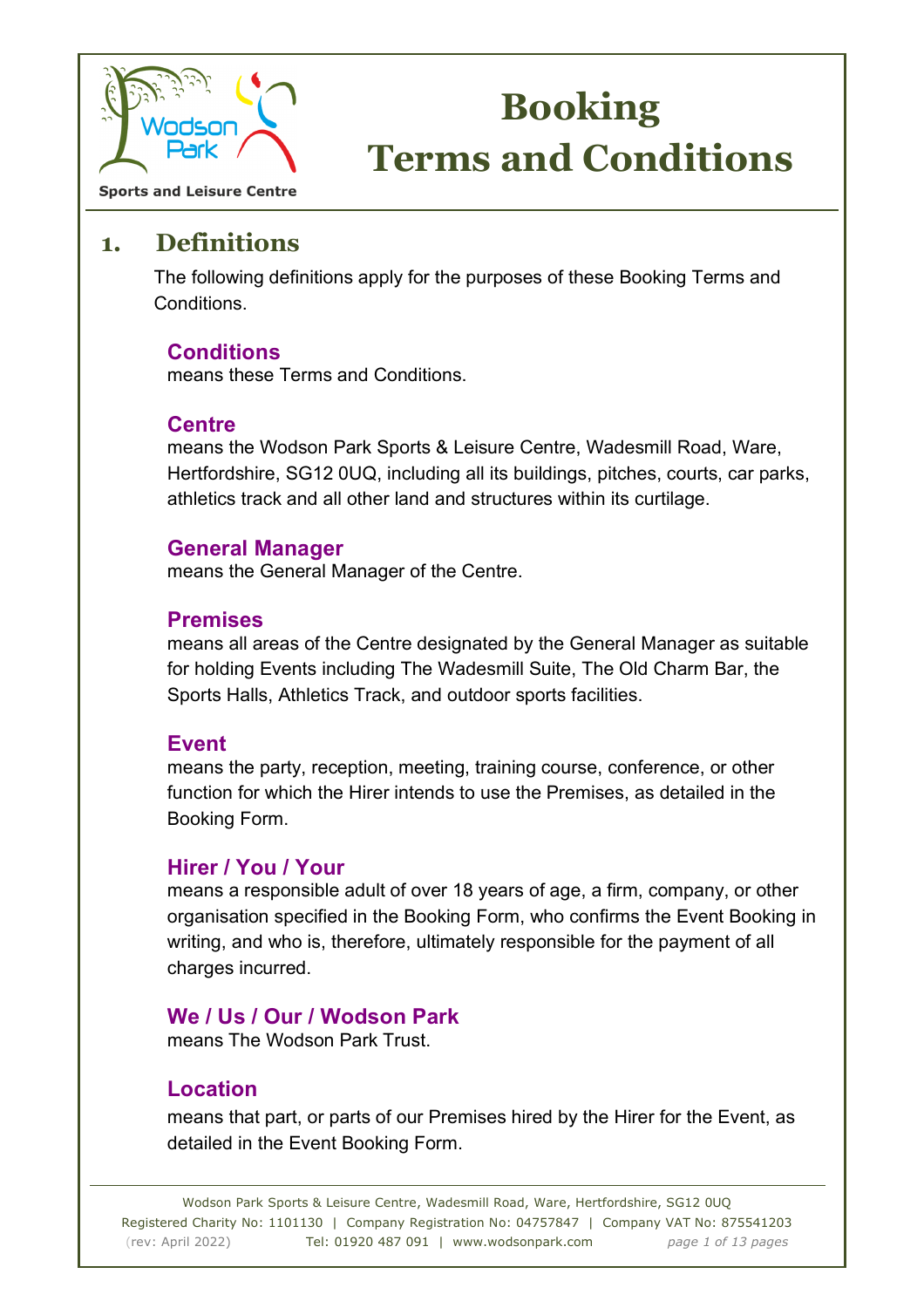

**Sports and Leisure Centre** 

### **1. Definitions**

 The following definitions apply for the purposes of these Booking Terms and Conditions.

#### **Conditions**

means these Terms and Conditions.

#### **Centre**

means the Wodson Park Sports & Leisure Centre, Wadesmill Road, Ware, Hertfordshire, SG12 0UQ, including all its buildings, pitches, courts, car parks, athletics track and all other land and structures within its curtilage.

#### **General Manager**

means the General Manager of the Centre.

#### **Premises**

means all areas of the Centre designated by the General Manager as suitable for holding Events including The Wadesmill Suite, The Old Charm Bar, the Sports Halls, Athletics Track, and outdoor sports facilities.

#### **Event**

means the party, reception, meeting, training course, conference, or other function for which the Hirer intends to use the Premises, as detailed in the Booking Form.

#### **Hirer / You / Your**

means a responsible adult of over 18 years of age, a firm, company, or other organisation specified in the Booking Form, who confirms the Event Booking in writing, and who is, therefore, ultimately responsible for the payment of all charges incurred.

#### **We / Us / Our / Wodson Park**

means The Wodson Park Trust.

#### **Location**

means that part, or parts of our Premises hired by the Hirer for the Event, as detailed in the Event Booking Form.

Wodson Park Sports & Leisure Centre, Wadesmill Road, Ware, Hertfordshire, SG12 0UQ Registered Charity No: 1101130 | Company Registration No: 04757847 | Company VAT No: 875541203 (rev: April 2022) Tel: 01920 487 091 | www.wodsonpark.com *page 1 of 13 pages*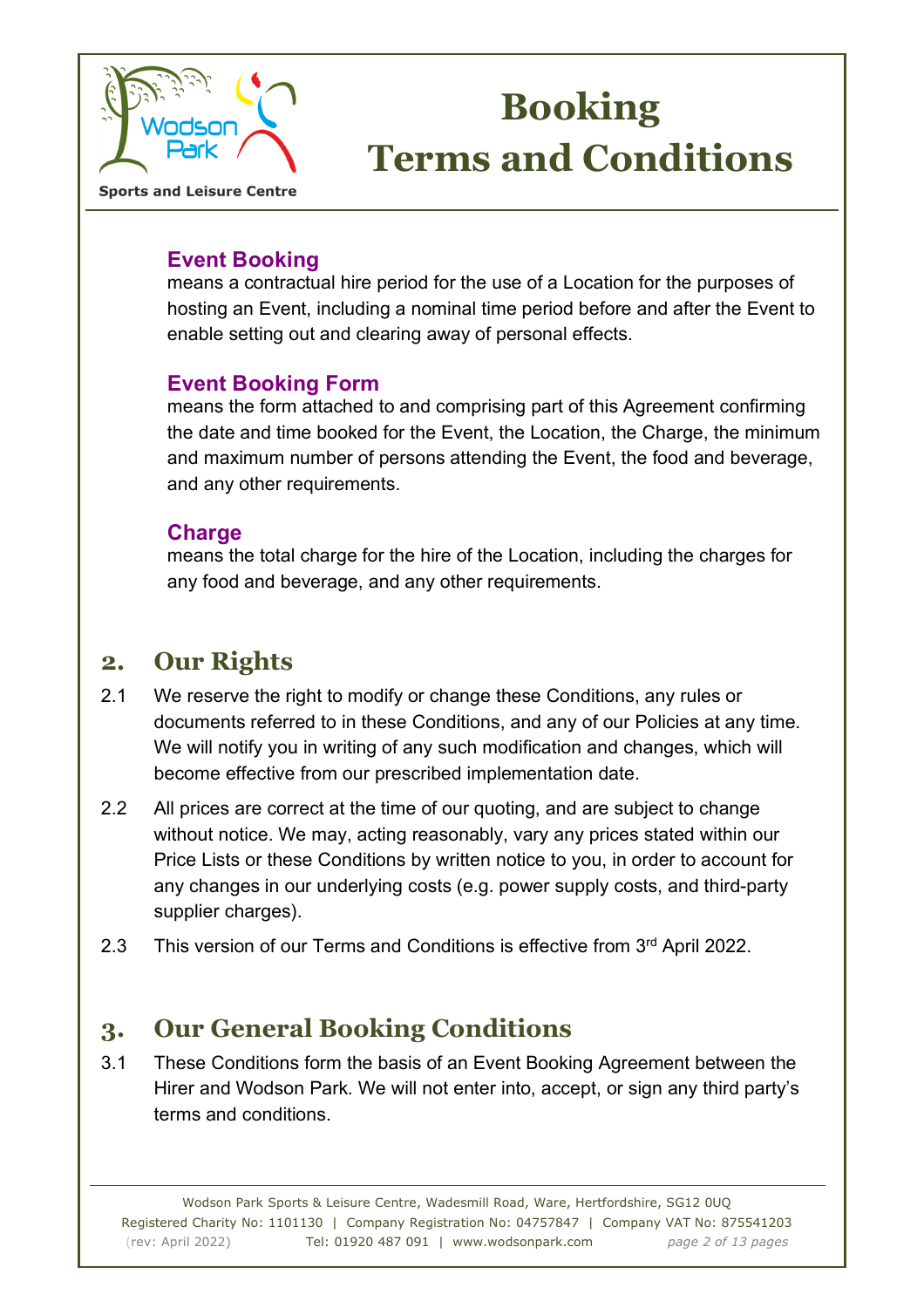

**Sports and Leisure Centre** 

#### **Event Booking**

means a contractual hire period for the use of a Location for the purposes of hosting an Event, including a nominal time period before and after the Event to enable setting out and clearing away of personal effects.

#### **Event Booking Form**

means the form attached to and comprising part of this Agreement confirming the date and time booked for the Event, the Location, the Charge, the minimum and maximum number of persons attending the Event, the food and beverage, and any other requirements.

#### **Charge**

means the total charge for the hire of the Location, including the charges for any food and beverage, and any other requirements.

## **2. Our Rights**

- 2.1 We reserve the right to modify or change these Conditions, any rules or documents referred to in these Conditions, and any of our Policies at any time. We will notify you in writing of any such modification and changes, which will become effective from our prescribed implementation date.
- 2.2 All prices are correct at the time of our quoting, and are subject to change without notice. We may, acting reasonably, vary any prices stated within our Price Lists or these Conditions by written notice to you, in order to account for any changes in our underlying costs (e.g. power supply costs, and third-party supplier charges).
- 2.3 This version of our Terms and Conditions is effective from 3<sup>rd</sup> April 2022.

## **3. Our General Booking Conditions**

3.1 These Conditions form the basis of an Event Booking Agreement between the Hirer and Wodson Park. We will not enter into, accept, or sign any third party's terms and conditions.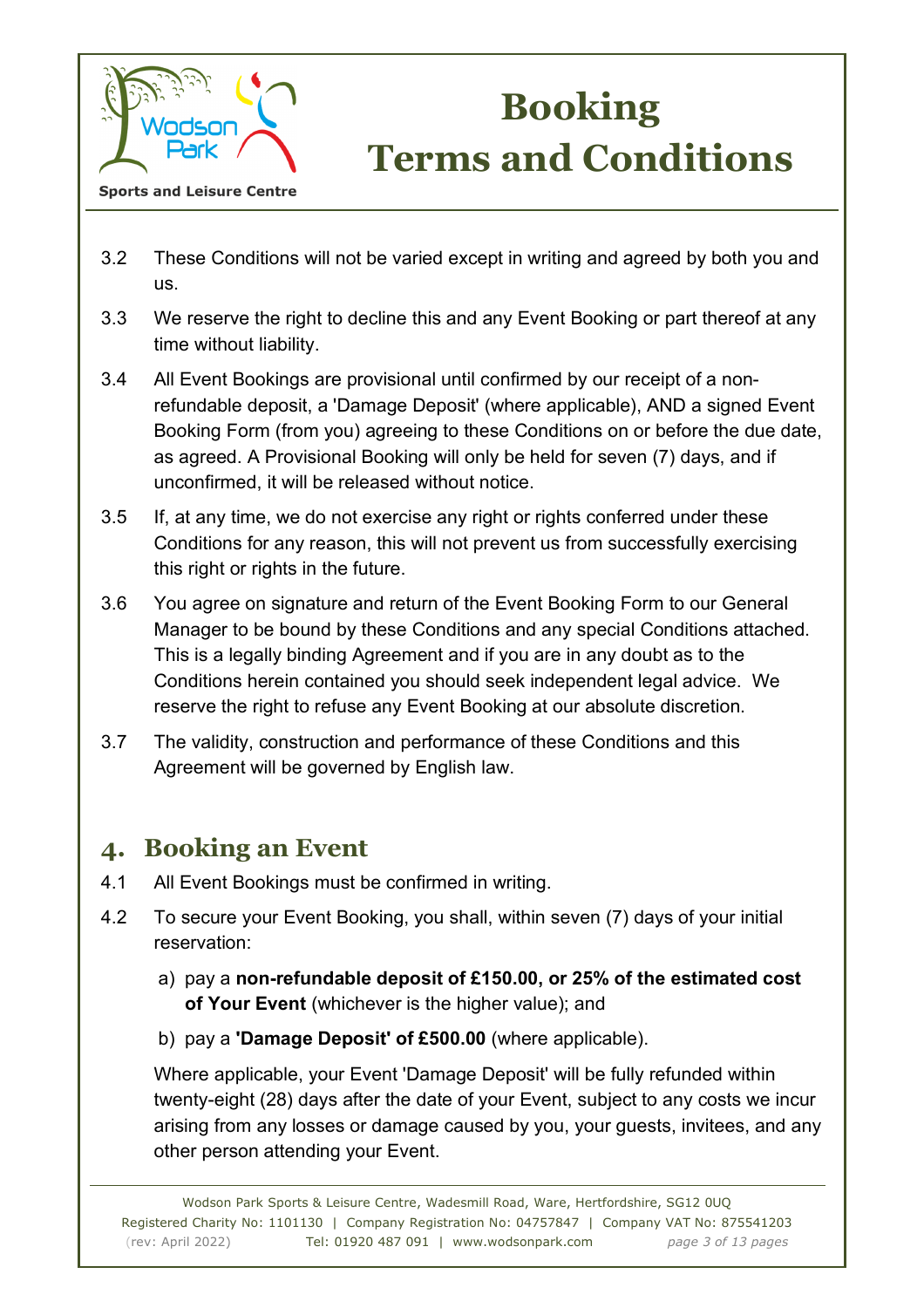

**Sports and Leisure Centre** 

- 3.2 These Conditions will not be varied except in writing and agreed by both you and us.
- 3.3 We reserve the right to decline this and any Event Booking or part thereof at any time without liability.
- 3.4 All Event Bookings are provisional until confirmed by our receipt of a nonrefundable deposit, a 'Damage Deposit' (where applicable), AND a signed Event Booking Form (from you) agreeing to these Conditions on or before the due date, as agreed. A Provisional Booking will only be held for seven (7) days, and if unconfirmed, it will be released without notice.
- 3.5 If, at any time, we do not exercise any right or rights conferred under these Conditions for any reason, this will not prevent us from successfully exercising this right or rights in the future.
- 3.6 You agree on signature and return of the Event Booking Form to our General Manager to be bound by these Conditions and any special Conditions attached. This is a legally binding Agreement and if you are in any doubt as to the Conditions herein contained you should seek independent legal advice. We reserve the right to refuse any Event Booking at our absolute discretion.
- 3.7 The validity, construction and performance of these Conditions and this Agreement will be governed by English law.

## **4. Booking an Event**

- 4.1 All Event Bookings must be confirmed in writing.
- 4.2 To secure your Event Booking, you shall, within seven (7) days of your initial reservation:
	- a) pay a **non-refundable deposit of £150.00, or 25% of the estimated cost of Your Event** (whichever is the higher value); and
	- b) pay a **'Damage Deposit' of £500.00** (where applicable).

 Where applicable, your Event 'Damage Deposit' will be fully refunded within twenty-eight (28) days after the date of your Event, subject to any costs we incur arising from any losses or damage caused by you, your guests, invitees, and any other person attending your Event.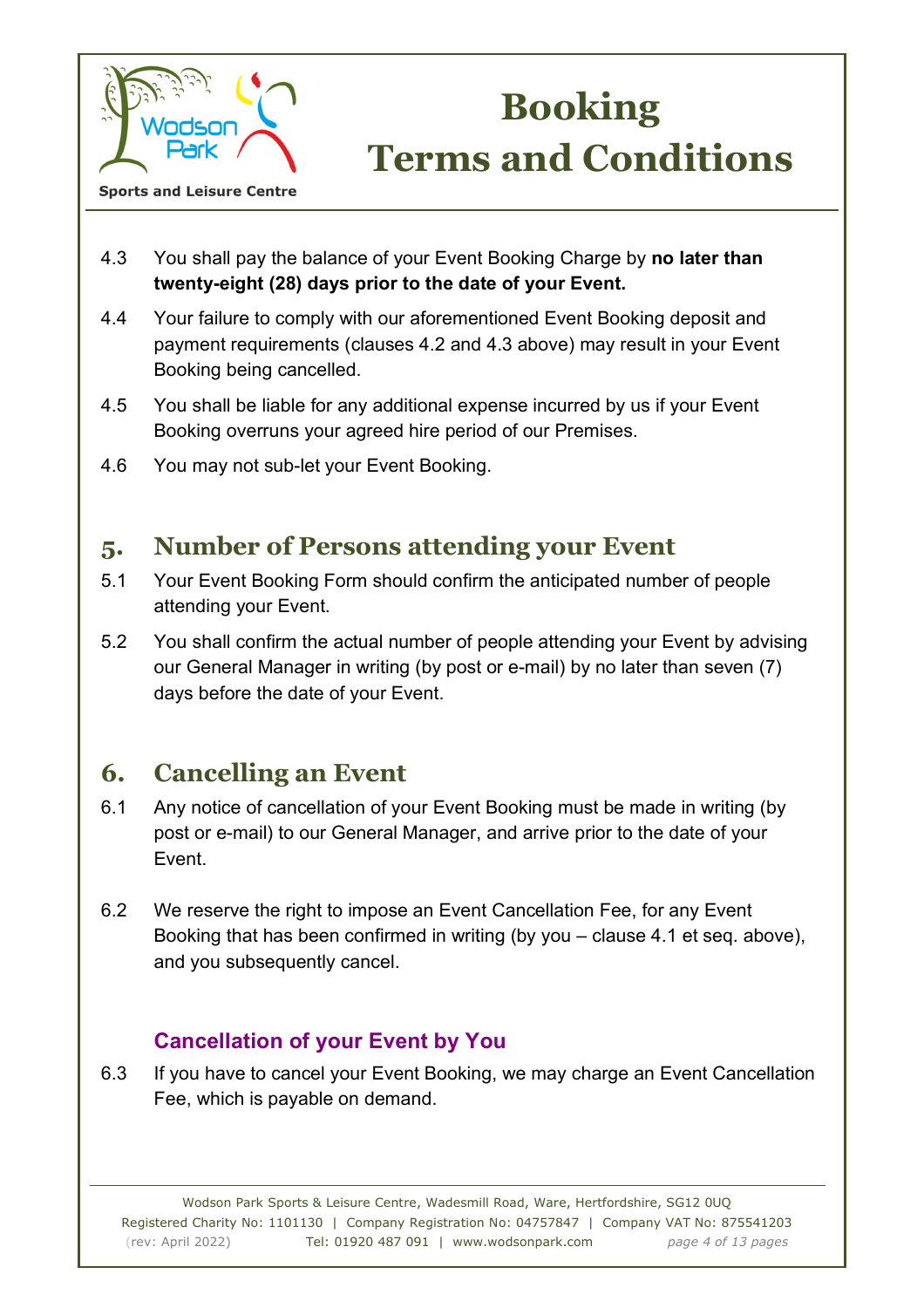

4.3 You shall pay the balance of your Event Booking Charge by **no later than twenty-eight (28) days prior to the date of your Event.** 

- 4.4 Your failure to comply with our aforementioned Event Booking deposit and payment requirements (clauses 4.2 and 4.3 above) may result in your Event Booking being cancelled.
- 4.5 You shall be liable for any additional expense incurred by us if your Event Booking overruns your agreed hire period of our Premises.
- 4.6 You may not sub-let your Event Booking.

## **5. Number of Persons attending your Event**

- 5.1 Your Event Booking Form should confirm the anticipated number of people attending your Event.
- 5.2 You shall confirm the actual number of people attending your Event by advising our General Manager in writing (by post or e-mail) by no later than seven (7) days before the date of your Event.

## **6. Cancelling an Event**

- 6.1 Any notice of cancellation of your Event Booking must be made in writing (by post or e-mail) to our General Manager, and arrive prior to the date of your Event.
- 6.2 We reserve the right to impose an Event Cancellation Fee, for any Event Booking that has been confirmed in writing (by you – clause 4.1 et seq. above), and you subsequently cancel.

### **Cancellation of your Event by You**

6.3 If you have to cancel your Event Booking, we may charge an Event Cancellation Fee, which is payable on demand.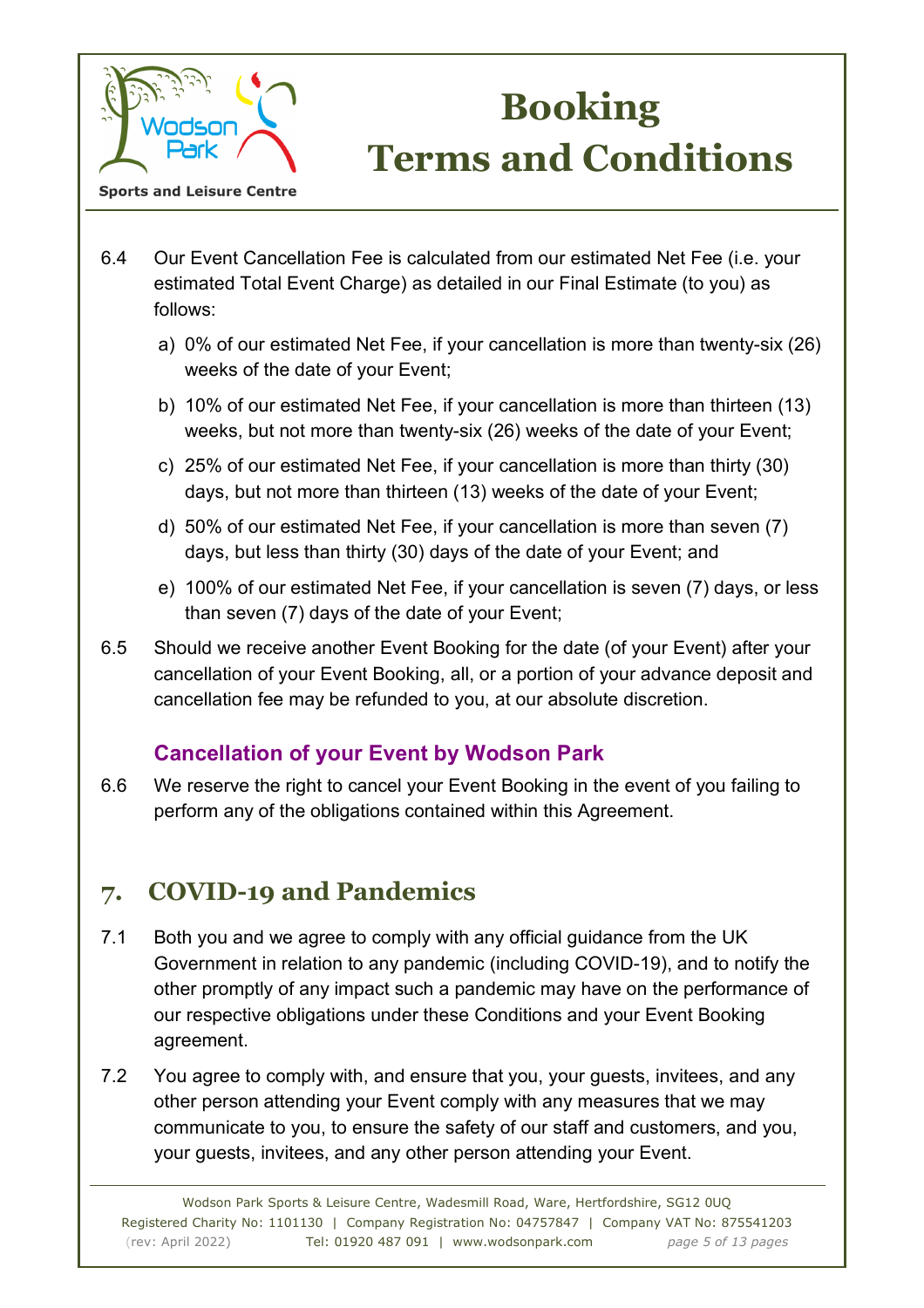

- 6.4 Our Event Cancellation Fee is calculated from our estimated Net Fee (i.e. your estimated Total Event Charge) as detailed in our Final Estimate (to you) as follows:
	- a) 0% of our estimated Net Fee, if your cancellation is more than twenty-six (26) weeks of the date of your Event;
	- b) 10% of our estimated Net Fee, if your cancellation is more than thirteen (13) weeks, but not more than twenty-six (26) weeks of the date of your Event;
	- c) 25% of our estimated Net Fee, if your cancellation is more than thirty (30) days, but not more than thirteen (13) weeks of the date of your Event;
	- d) 50% of our estimated Net Fee, if your cancellation is more than seven (7) days, but less than thirty (30) days of the date of your Event; and
	- e) 100% of our estimated Net Fee, if your cancellation is seven (7) days, or less than seven (7) days of the date of your Event;
- 6.5 Should we receive another Event Booking for the date (of your Event) after your cancellation of your Event Booking, all, or a portion of your advance deposit and cancellation fee may be refunded to you, at our absolute discretion.

### **Cancellation of your Event by Wodson Park**

6.6 We reserve the right to cancel your Event Booking in the event of you failing to perform any of the obligations contained within this Agreement.

# **7. COVID-19 and Pandemics**

- 7.1 Both you and we agree to comply with any official guidance from the UK Government in relation to any pandemic (including COVID-19), and to notify the other promptly of any impact such a pandemic may have on the performance of our respective obligations under these Conditions and your Event Booking agreement.
- 7.2 You agree to comply with, and ensure that you, your guests, invitees, and any other person attending your Event comply with any measures that we may communicate to you, to ensure the safety of our staff and customers, and you, your guests, invitees, and any other person attending your Event.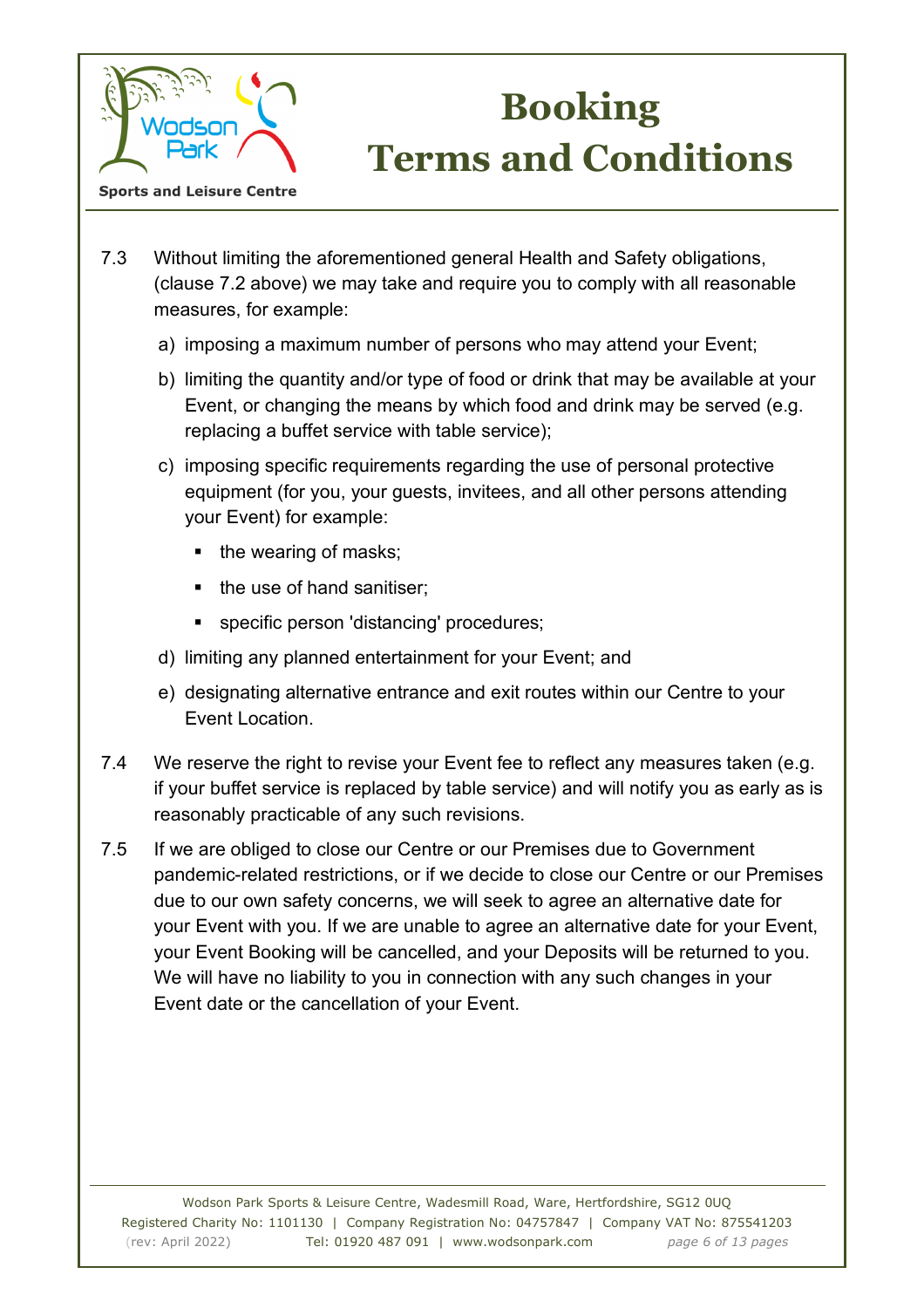

- 7.3 Without limiting the aforementioned general Health and Safety obligations, (clause 7.2 above) we may take and require you to comply with all reasonable measures, for example:
	- a) imposing a maximum number of persons who may attend your Event;
	- b) limiting the quantity and/or type of food or drink that may be available at your Event, or changing the means by which food and drink may be served (e.g. replacing a buffet service with table service);
	- c) imposing specific requirements regarding the use of personal protective equipment (for you, your guests, invitees, and all other persons attending your Event) for example:
		- $\blacksquare$  the wearing of masks;
		- the use of hand sanitiser:
		- specific person 'distancing' procedures;
	- d) limiting any planned entertainment for your Event; and
	- e) designating alternative entrance and exit routes within our Centre to your Event Location.
- 7.4 We reserve the right to revise your Event fee to reflect any measures taken (e.g. if your buffet service is replaced by table service) and will notify you as early as is reasonably practicable of any such revisions.
- 7.5 If we are obliged to close our Centre or our Premises due to Government pandemic-related restrictions, or if we decide to close our Centre or our Premises due to our own safety concerns, we will seek to agree an alternative date for your Event with you. If we are unable to agree an alternative date for your Event, your Event Booking will be cancelled, and your Deposits will be returned to you. We will have no liability to you in connection with any such changes in your Event date or the cancellation of your Event.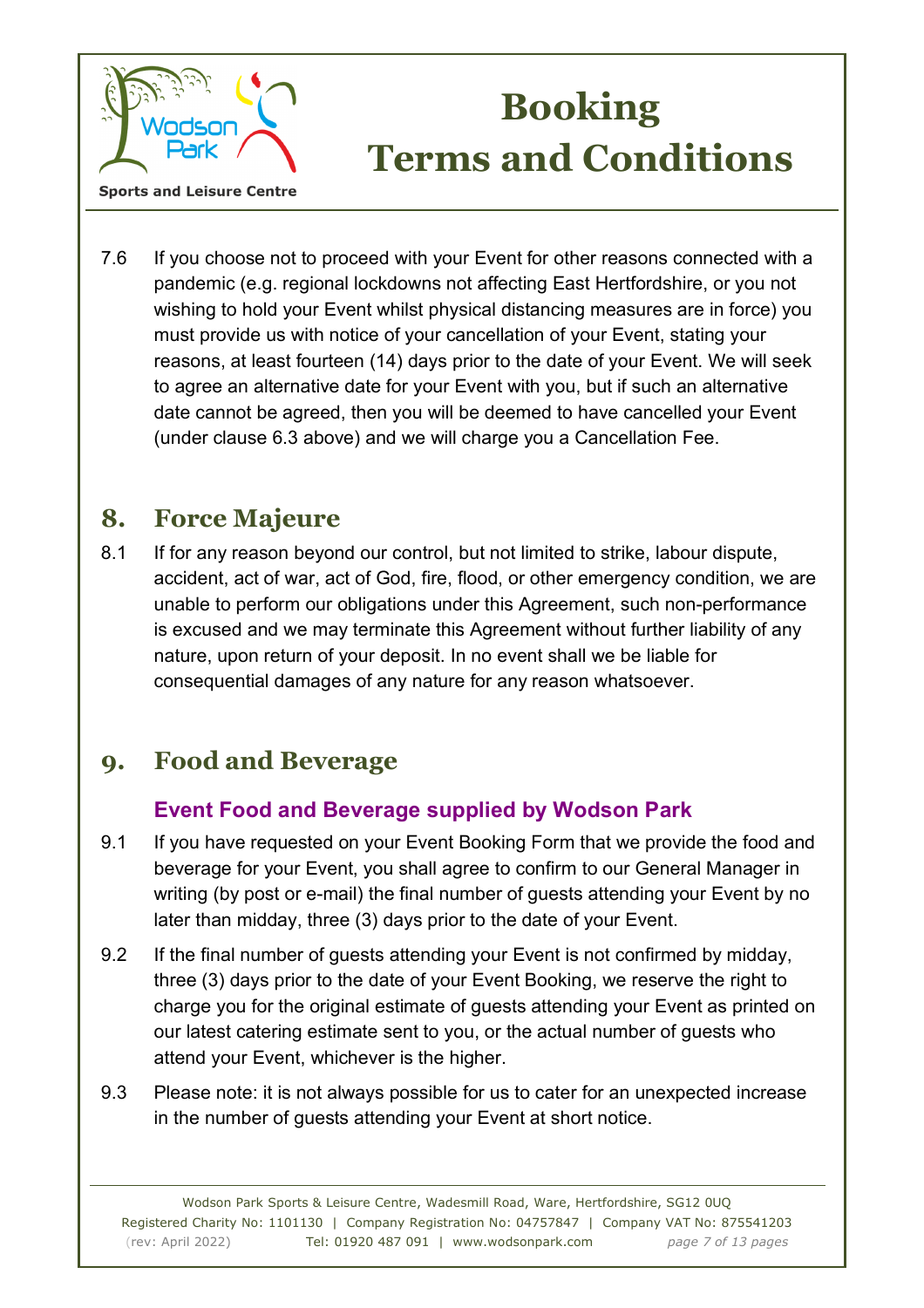

7.6 If you choose not to proceed with your Event for other reasons connected with a pandemic (e.g. regional lockdowns not affecting East Hertfordshire, or you not wishing to hold your Event whilst physical distancing measures are in force) you must provide us with notice of your cancellation of your Event, stating your reasons, at least fourteen (14) days prior to the date of your Event. We will seek to agree an alternative date for your Event with you, but if such an alternative date cannot be agreed, then you will be deemed to have cancelled your Event (under clause 6.3 above) and we will charge you a Cancellation Fee.

## **8. Force Majeure**

8.1 If for any reason beyond our control, but not limited to strike, labour dispute, accident, act of war, act of God, fire, flood, or other emergency condition, we are unable to perform our obligations under this Agreement, such non-performance is excused and we may terminate this Agreement without further liability of any nature, upon return of your deposit. In no event shall we be liable for consequential damages of any nature for any reason whatsoever.

## **9. Food and Beverage**

### **Event Food and Beverage supplied by Wodson Park**

- 9.1 If you have requested on your Event Booking Form that we provide the food and beverage for your Event, you shall agree to confirm to our General Manager in writing (by post or e-mail) the final number of guests attending your Event by no later than midday, three (3) days prior to the date of your Event.
- 9.2 If the final number of guests attending your Event is not confirmed by midday, three (3) days prior to the date of your Event Booking, we reserve the right to charge you for the original estimate of guests attending your Event as printed on our latest catering estimate sent to you, or the actual number of guests who attend your Event, whichever is the higher.
- 9.3 Please note: it is not always possible for us to cater for an unexpected increase in the number of guests attending your Event at short notice.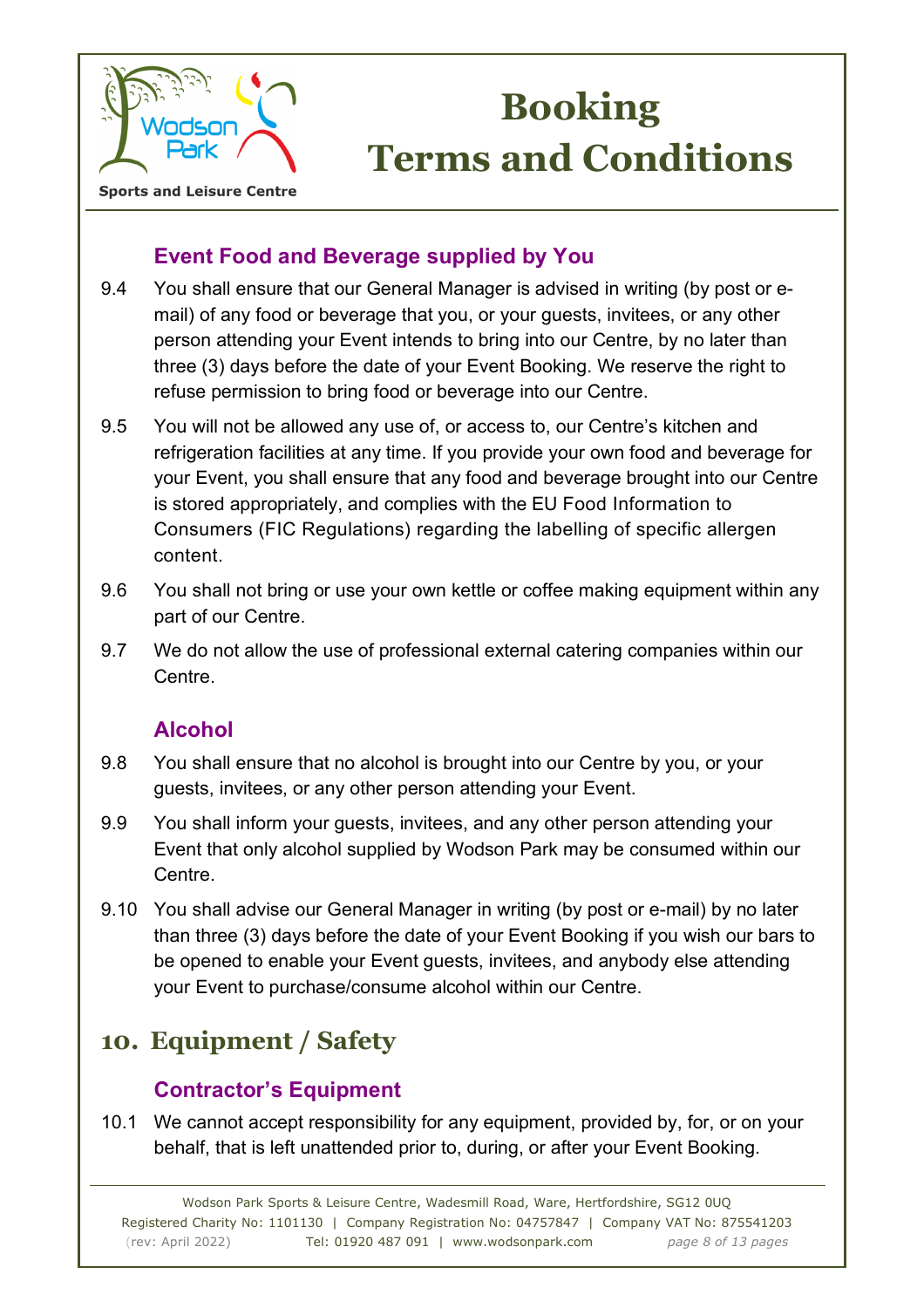

**Sports and Leisure Centre** 

### **Event Food and Beverage supplied by You**

- 9.4 You shall ensure that our General Manager is advised in writing (by post or email) of any food or beverage that you, or your guests, invitees, or any other person attending your Event intends to bring into our Centre, by no later than three (3) days before the date of your Event Booking. We reserve the right to refuse permission to bring food or beverage into our Centre.
- 9.5 You will not be allowed any use of, or access to, our Centre's kitchen and refrigeration facilities at any time. If you provide your own food and beverage for your Event, you shall ensure that any food and beverage brought into our Centre is stored appropriately, and complies with the EU Food Information to Consumers (FIC Regulations) regarding the labelling of specific allergen content.
- 9.6 You shall not bring or use your own kettle or coffee making equipment within any part of our Centre.
- 9.7 We do not allow the use of professional external catering companies within our Centre.

### **Alcohol**

- 9.8 You shall ensure that no alcohol is brought into our Centre by you, or your guests, invitees, or any other person attending your Event.
- 9.9 You shall inform your guests, invitees, and any other person attending your Event that only alcohol supplied by Wodson Park may be consumed within our Centre.
- 9.10 You shall advise our General Manager in writing (by post or e-mail) by no later than three (3) days before the date of your Event Booking if you wish our bars to be opened to enable your Event guests, invitees, and anybody else attending your Event to purchase/consume alcohol within our Centre.

# **10. Equipment / Safety**

### **Contractor's Equipment**

10.1 We cannot accept responsibility for any equipment, provided by, for, or on your behalf, that is left unattended prior to, during, or after your Event Booking.

Wodson Park Sports & Leisure Centre, Wadesmill Road, Ware, Hertfordshire, SG12 0UQ Registered Charity No: 1101130 | Company Registration No: 04757847 | Company VAT No: 875541203 (rev: April 2022) Tel: 01920 487 091 | www.wodsonpark.com *page 8 of 13 pages*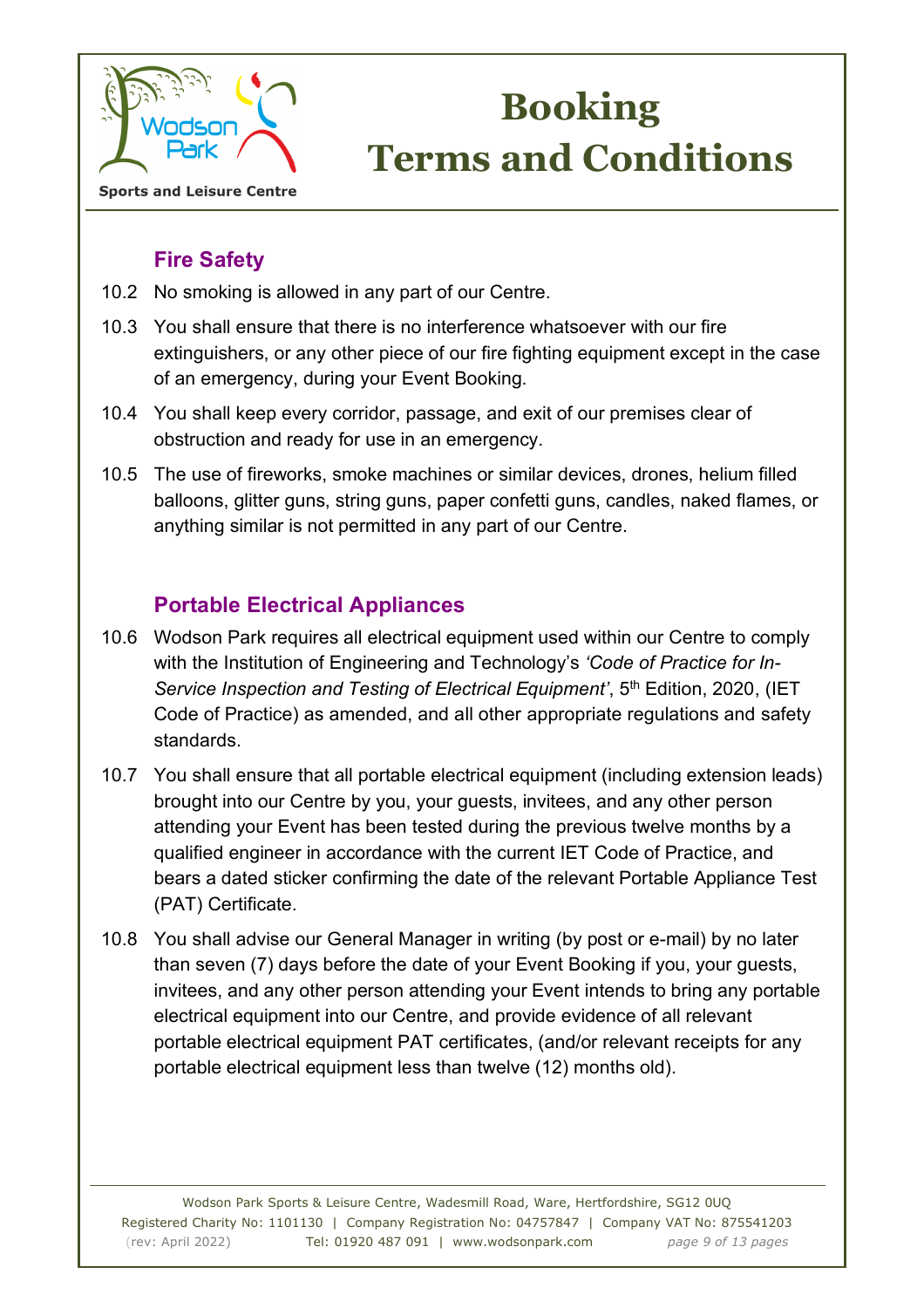

**Sports and Leisure Centre** 

### **Fire Safety**

- 10.2 No smoking is allowed in any part of our Centre.
- 10.3 You shall ensure that there is no interference whatsoever with our fire extinguishers, or any other piece of our fire fighting equipment except in the case of an emergency, during your Event Booking.
- 10.4 You shall keep every corridor, passage, and exit of our premises clear of obstruction and ready for use in an emergency.
- 10.5 The use of fireworks, smoke machines or similar devices, drones, helium filled balloons, glitter guns, string guns, paper confetti guns, candles, naked flames, or anything similar is not permitted in any part of our Centre.

### **Portable Electrical Appliances**

- 10.6 Wodson Park requires all electrical equipment used within our Centre to comply with the Institution of Engineering and Technology's *'Code of Practice for In-Service Inspection and Testing of Electrical Equipment'*, 5<sup>th</sup> Edition, 2020, (IET Code of Practice) as amended, and all other appropriate regulations and safety standards.
- 10.7 You shall ensure that all portable electrical equipment (including extension leads) brought into our Centre by you, your guests, invitees, and any other person attending your Event has been tested during the previous twelve months by a qualified engineer in accordance with the current IET Code of Practice, and bears a dated sticker confirming the date of the relevant Portable Appliance Test (PAT) Certificate.
- 10.8 You shall advise our General Manager in writing (by post or e-mail) by no later than seven (7) days before the date of your Event Booking if you, your guests, invitees, and any other person attending your Event intends to bring any portable electrical equipment into our Centre, and provide evidence of all relevant portable electrical equipment PAT certificates, (and/or relevant receipts for any portable electrical equipment less than twelve (12) months old).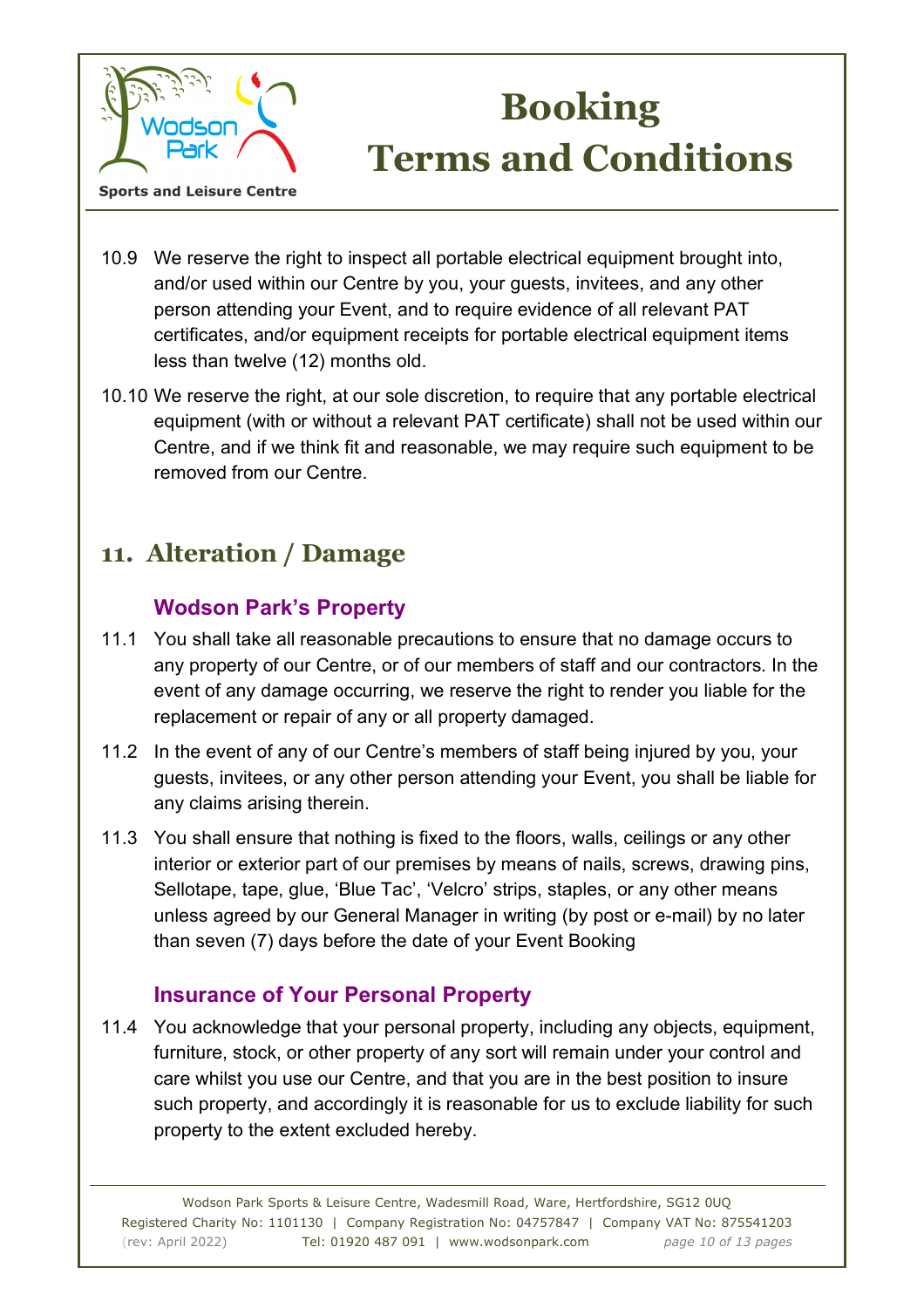

#### 10.9 We reserve the right to inspect all portable electrical equipment brought into, and/or used within our Centre by you, your guests, invitees, and any other person attending your Event, and to require evidence of all relevant PAT certificates, and/or equipment receipts for portable electrical equipment items less than twelve (12) months old.

10.10 We reserve the right, at our sole discretion, to require that any portable electrical equipment (with or without a relevant PAT certificate) shall not be used within our Centre, and if we think fit and reasonable, we may require such equipment to be removed from our Centre.

# **11. Alteration / Damage**

### **Wodson Park's Property**

- 11.1 You shall take all reasonable precautions to ensure that no damage occurs to any property of our Centre, or of our members of staff and our contractors. In the event of any damage occurring, we reserve the right to render you liable for the replacement or repair of any or all property damaged.
- 11.2 In the event of any of our Centre's members of staff being injured by you, your guests, invitees, or any other person attending your Event, you shall be liable for any claims arising therein.
- 11.3 You shall ensure that nothing is fixed to the floors, walls, ceilings or any other interior or exterior part of our premises by means of nails, screws, drawing pins, Sellotape, tape, glue, 'Blue Tac', 'Velcro' strips, staples, or any other means unless agreed by our General Manager in writing (by post or e-mail) by no later than seven (7) days before the date of your Event Booking

### **Insurance of Your Personal Property**

11.4 You acknowledge that your personal property, including any objects, equipment, furniture, stock, or other property of any sort will remain under your control and care whilst you use our Centre, and that you are in the best position to insure such property, and accordingly it is reasonable for us to exclude liability for such property to the extent excluded hereby.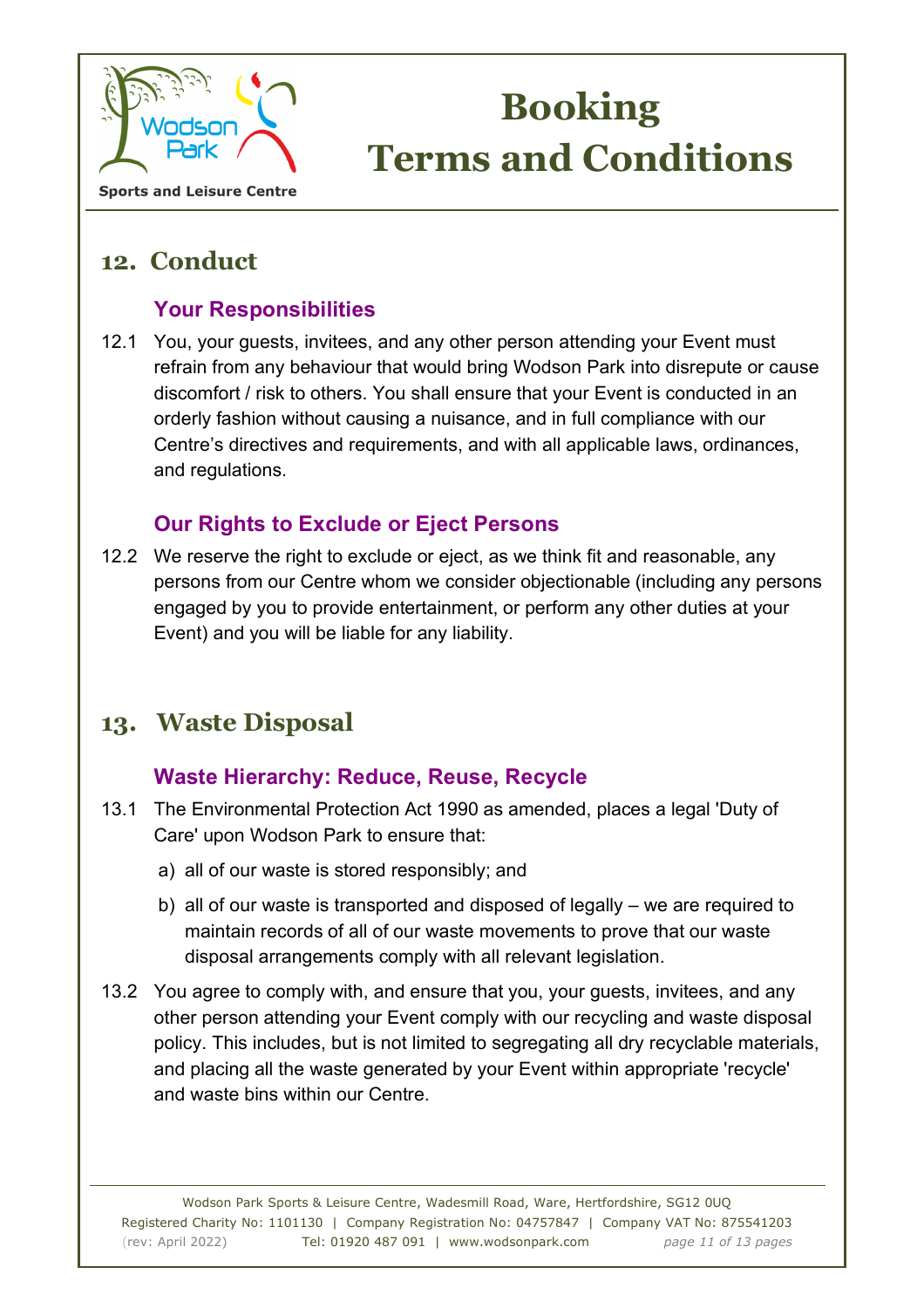

**Sports and Leisure Centre** 

## **12. Conduct**

### **Your Responsibilities**

12.1 You, your guests, invitees, and any other person attending your Event must refrain from any behaviour that would bring Wodson Park into disrepute or cause discomfort / risk to others. You shall ensure that your Event is conducted in an orderly fashion without causing a nuisance, and in full compliance with our Centre's directives and requirements, and with all applicable laws, ordinances, and regulations.

### **Our Rights to Exclude or Eject Persons**

12.2 We reserve the right to exclude or eject, as we think fit and reasonable, any persons from our Centre whom we consider objectionable (including any persons engaged by you to provide entertainment, or perform any other duties at your Event) and you will be liable for any liability.

## **13. Waste Disposal**

### **Waste Hierarchy: Reduce, Reuse, Recycle**

- 13.1 The Environmental Protection Act 1990 as amended, places a legal 'Duty of Care' upon Wodson Park to ensure that:
	- a) all of our waste is stored responsibly; and
	- b) all of our waste is transported and disposed of legally we are required to maintain records of all of our waste movements to prove that our waste disposal arrangements comply with all relevant legislation.
- 13.2 You agree to comply with, and ensure that you, your guests, invitees, and any other person attending your Event comply with our recycling and waste disposal policy. This includes, but is not limited to segregating all dry recyclable materials, and placing all the waste generated by your Event within appropriate 'recycle' and waste bins within our Centre.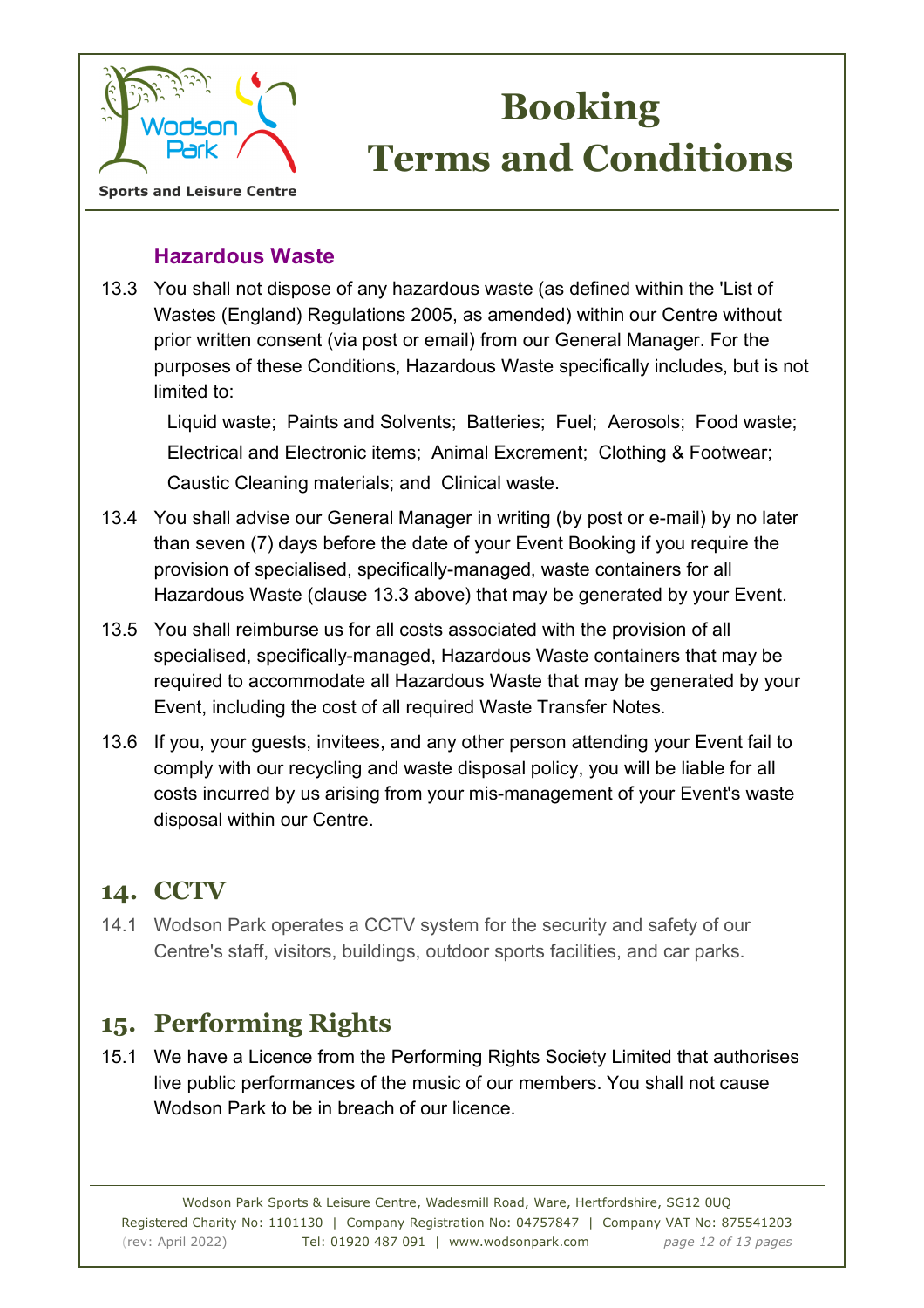

#### **Sports and Leisure Centre**

#### **Hazardous Waste**

13.3 You shall not dispose of any hazardous waste (as defined within the 'List of Wastes (England) Regulations 2005, as amended) within our Centre without prior written consent (via post or email) from our General Manager. For the purposes of these Conditions, Hazardous Waste specifically includes, but is not limited to:

Liquid waste; Paints and Solvents; Batteries; Fuel; Aerosols; Food waste; Electrical and Electronic items; Animal Excrement; Clothing & Footwear; Caustic Cleaning materials; and Clinical waste.

- 13.4 You shall advise our General Manager in writing (by post or e-mail) by no later than seven (7) days before the date of your Event Booking if you require the provision of specialised, specifically-managed, waste containers for all Hazardous Waste (clause 13.3 above) that may be generated by your Event.
- 13.5 You shall reimburse us for all costs associated with the provision of all specialised, specifically-managed, Hazardous Waste containers that may be required to accommodate all Hazardous Waste that may be generated by your Event, including the cost of all required Waste Transfer Notes.
- 13.6 If you, your guests, invitees, and any other person attending your Event fail to comply with our recycling and waste disposal policy, you will be liable for all costs incurred by us arising from your mis-management of your Event's waste disposal within our Centre.

## **14. CCTV**

14.1 Wodson Park operates a CCTV system for the security and safety of our Centre's staff, visitors, buildings, outdoor sports facilities, and car parks.

## **15. Performing Rights**

15.1 We have a Licence from the Performing Rights Society Limited that authorises live public performances of the music of our members. You shall not cause Wodson Park to be in breach of our licence.